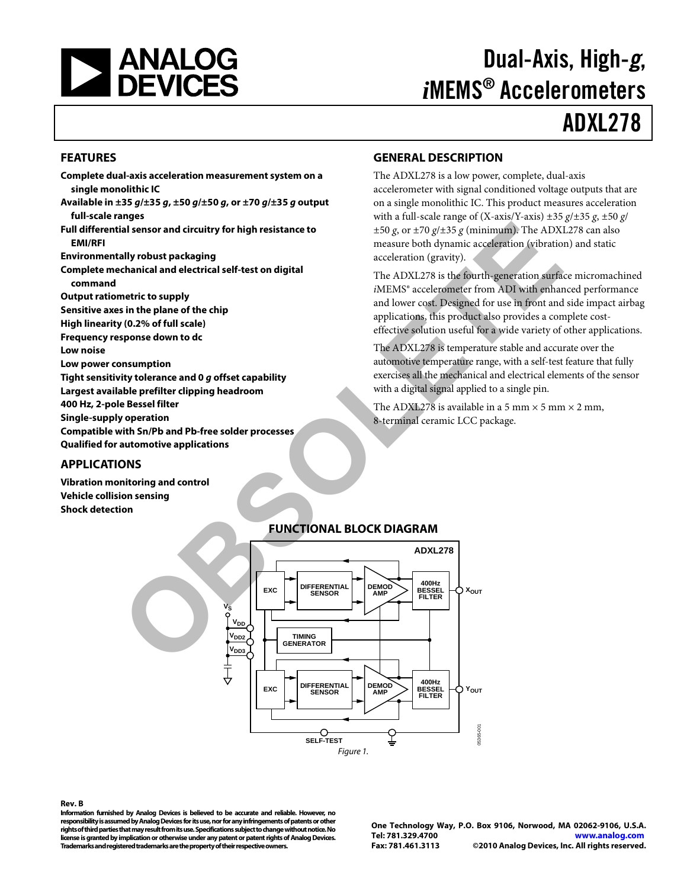

# Dual-Axis, High-*g*, *i*MEMS® Accelerometers

# ADXL278

#### <span id="page-0-0"></span>**FEATURES**

- **Complete dual-axis acceleration measurement system on a single monolithic IC**
- **Available in ±35** *g***/±35** *g***, ±50** *g***/±50** *g***, or ±70** *g***/±35** *g* **output full-scale ranges**
- **Full differential sensor and circuitry for high resistance to EMI/RFI**

**Environmentally robust packaging**

- **Complete mechanical and electrical self-test on digital command**
- **Output ratiometric to supply**
- **Sensitive axes in the plane of the chip**
- **High linearity (0.2% of full scale)**
- **Frequency response down to dc**
- **Low noise**
- **Low power consumption**
- **Tight sensitivity tolerance and 0** *g* **offset capability**
- **Largest available prefilter clipping headroom**
- **400 Hz, 2-pole Bessel filter**
- **Single-supply operation**
- **Compatible with Sn/Pb and Pb-free solder processes**
- **Qualified for automotive applications**

#### <span id="page-0-1"></span>**APPLICATIONS**

<span id="page-0-3"></span>**Vibration monitoring and control Vehicle collision sensing Shock detection**

### <span id="page-0-2"></span>**GENERAL DESCRIPTION**

The ADXL278 is a low power, complete, dual-axis accelerometer with signal conditioned voltage outputs that are on a single monolithic IC. This product measures acceleration with a full-scale range of (X-axis/Y-axis) ±35 *g*/±35 *g*, ±50 *g*/  $\pm 50$  *g*, or  $\pm 70$  *g*/ $\pm 35$  *g* (minimum). The ADXL278 can also measure both dynamic acceleration (vibration) and static acceleration (gravity).

The ADXL278 is the fourth-generation surface micromachined *i*MEMS® accelerometer from ADI with enhanced performance and lower cost. Designed for use in front and side impact airbag applications, this product also provides a complete costeffective solution useful for a wide variety of other applications.

The ADXL278 is temperature stable and accurate over the automotive temperature range, with a self-test feature that fully exercises all the mechanical and electrical elements of the sensor with a digital signal applied to a single pin.

The ADXL278 is available in a 5 mm  $\times$  5 mm  $\times$  2 mm, 8-terminal ceramic LCC package.

#### **FUNCTIONAL BLOCK DIAGRAM**



#### **Rev. B**

**Information furnished by Analog Devices is believed to be accurate and reliable. However, no responsibility is assumed by Analog Devices for its use, nor for any infringements of patents or other rights of third parties that may result from its use. Specifications subject to change without notice. No license is granted by implication or otherwise under any patent or patent rights of Analog Devices. Trademarks and registered trademarks are the property of their respective owners.**

**One Technology Way, P.O. Box 9106, Norwood, MA 02062-9106, U.S.A. Tel: 781.329.4700 [www.analog.com](http://www.analog.com/)  Fax: 781.461.3113 ©2010 Analog Devices, Inc. All rights reserved.**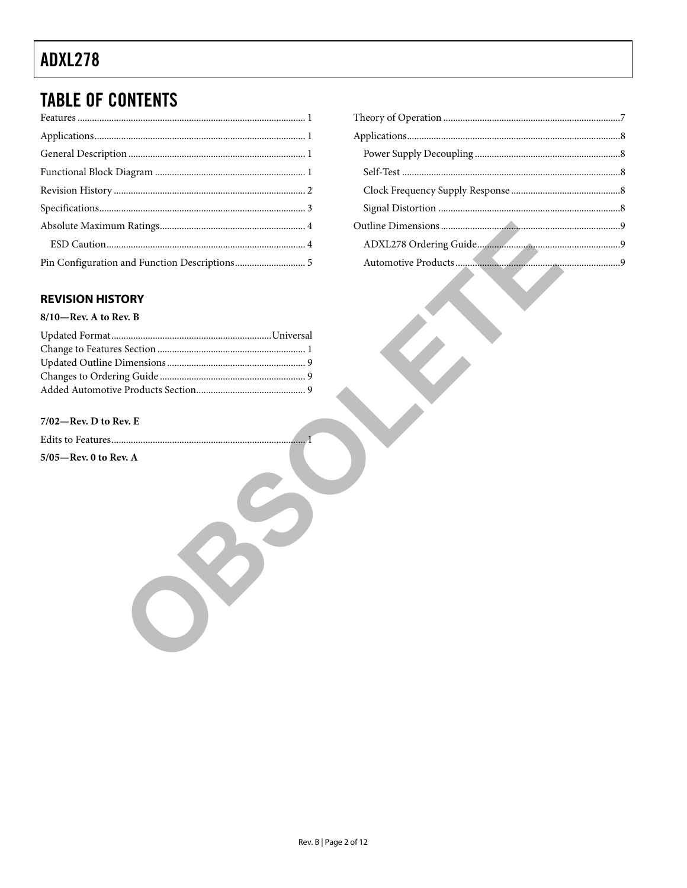# **TABLE OF CONTENTS**

### 

### <span id="page-1-0"></span>**REVISION HISTORY**

#### $8/10$ —Rev. A to Rev. B

#### $7/02$ -Rev. D to Rev. E

 $\dots 1$  $5/05$ —Rev. 0 to Rev. A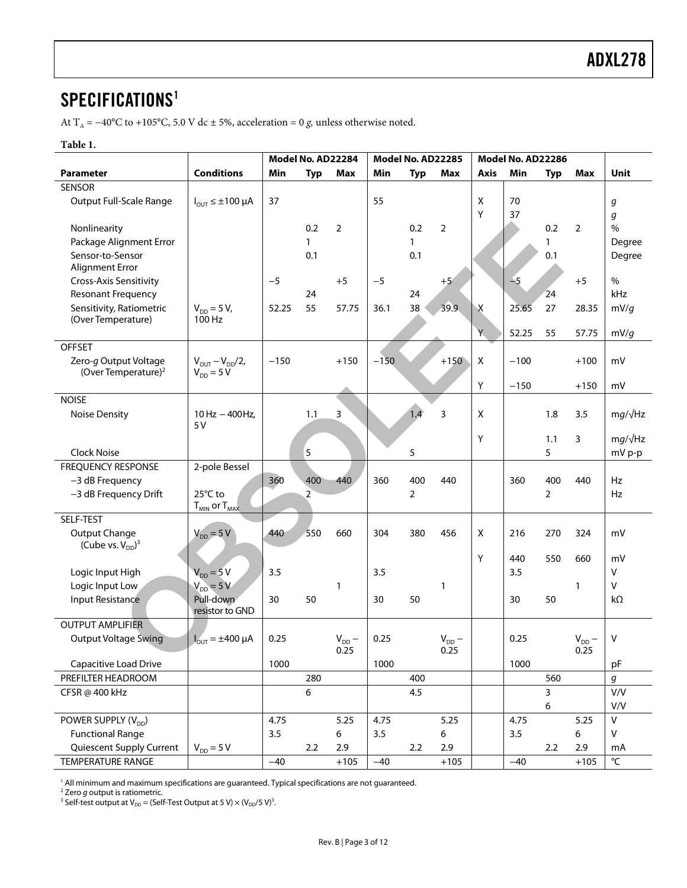### <span id="page-2-0"></span>SPECIFICATIONS<sup>[1](#page-2-1)</sup>

At T<sub>A</sub> = −40°C to +105°C, 5.0 V dc ± 5%, acceleration = 0 *g*, unless otherwise noted.

#### **Table 1.**

|                                   |                                       | Model No. AD22284 |                | Model No. AD22285  |        |                | Model No. AD22286  |             |        |                |                    |                   |
|-----------------------------------|---------------------------------------|-------------------|----------------|--------------------|--------|----------------|--------------------|-------------|--------|----------------|--------------------|-------------------|
| <b>Parameter</b>                  | <b>Conditions</b>                     | Min               | <b>Typ</b>     | Max                | Min    | <b>Typ</b>     | <b>Max</b>         | <b>Axis</b> | Min    | <b>Typ</b>     | <b>Max</b>         | Unit              |
| <b>SENSOR</b>                     |                                       |                   |                |                    |        |                |                    |             |        |                |                    |                   |
| Output Full-Scale Range           | $I_{OUT} \leq \pm 100 \mu A$          | 37                |                |                    | 55     |                |                    | X           | 70     |                |                    | g                 |
|                                   |                                       |                   |                |                    |        |                |                    | Υ           | 37     |                |                    | g                 |
| Nonlinearity                      |                                       |                   | 0.2            | $\overline{2}$     |        | 0.2            | 2                  |             |        | 0.2            | $\overline{2}$     | $\frac{0}{0}$     |
| Package Alignment Error           |                                       |                   | $\mathbf{1}$   |                    |        | $\mathbf{1}$   |                    |             |        | $\mathbf{1}$   |                    | Degree            |
| Sensor-to-Sensor                  |                                       |                   | 0.1            |                    |        | 0.1            |                    |             |        | 0.1            |                    | Degree            |
| Alignment Error                   |                                       |                   |                |                    |        |                |                    |             |        |                |                    |                   |
| Cross-Axis Sensitivity            |                                       | $-5$              |                | $+5$               | $-5$   |                | $+5$               |             | $-5$   |                | $+5$               | $\%$              |
| <b>Resonant Frequency</b>         |                                       |                   | 24             |                    |        | 24             |                    |             |        | 24             |                    | kHz               |
| Sensitivity, Ratiometric          | $V_{DD} = 5 V$ ,                      | 52.25             | 55             | 57.75              | 36.1   | 38             | 39.9               | Χ           | 25.65  | 27             | 28.35              | mV/q              |
| (Over Temperature)                | 100 Hz                                |                   |                |                    |        |                |                    |             |        |                |                    |                   |
|                                   |                                       |                   |                |                    |        |                |                    | Y           | 52.25  | 55             | 57.75              | mV/g              |
| <b>OFFSET</b>                     |                                       |                   |                |                    |        |                |                    |             |        |                |                    |                   |
| Zero-g Output Voltage             | $V_{OUT} - V_{DD}/2$ ,                | $-150$            |                | $+150$             | $-150$ |                | $+150$             | X           | $-100$ |                | $+100$             | mV                |
| (Over Temperature) <sup>2</sup>   | $V_{DD} = 5 V$                        |                   |                |                    |        |                |                    |             |        |                |                    |                   |
|                                   |                                       |                   |                |                    |        |                |                    | Y           | $-150$ |                | $+150$             | mV                |
| <b>NOISE</b>                      |                                       |                   |                |                    |        |                |                    |             |        |                |                    |                   |
| Noise Density                     | $10$ Hz $-$ 400Hz,                    |                   | 1.1            | 3                  |        | 1.4            | 3                  | X           |        | 1.8            | 3.5                | $mg/\sqrt{Hz}$    |
|                                   | 5V                                    |                   |                |                    |        |                |                    |             |        |                |                    |                   |
|                                   |                                       |                   |                |                    |        |                |                    | Y           |        | 1.1            | 3                  | $mg/\sqrt{Hz}$    |
| <b>Clock Noise</b>                |                                       |                   | 5              |                    |        | 5              |                    |             |        | 5              |                    | mV p-p            |
| <b>FREQUENCY RESPONSE</b>         | 2-pole Bessel                         |                   |                |                    |        |                |                    |             |        |                |                    |                   |
| -3 dB Frequency                   |                                       | 360               | 400            | 440                | 360    | 400            | 440                |             | 360    | 400            | 440                | Hz                |
| -3 dB Frequency Drift             | 25°C to                               |                   | $\overline{2}$ |                    |        | $\overline{2}$ |                    |             |        | $\overline{2}$ |                    | Hz                |
|                                   | $T_{MIN}$ or $T_{MAX}$                |                   |                |                    |        |                |                    |             |        |                |                    |                   |
| SELF-TEST                         |                                       |                   |                |                    |        |                |                    |             |        |                |                    |                   |
| Output Change                     | $V_{DD} = 5 V$                        | 440               | 550            | 660                | 304    | 380            | 456                | X           | 216    | 270            | 324                | mV                |
| (Cube vs. $V_{DD}$ ) <sup>3</sup> |                                       |                   |                |                    |        |                |                    |             |        |                |                    |                   |
|                                   |                                       |                   |                |                    |        |                |                    | Y           | 440    | 550            | 660                | mV                |
| Logic Input High                  | $V_{DD} = 5V$                         | 3.5               |                |                    | 3.5    |                |                    |             | 3.5    |                |                    | v                 |
| Logic Input Low                   | $V_{DD} = 5 V$                        |                   |                | $\mathbf{1}$       |        |                | 1                  |             |        |                | $\mathbf{1}$       | v                 |
| Input Resistance                  | Pull-down                             | 30                | 50             |                    | 30     | 50             |                    |             | 30     | 50             |                    | $k\Omega$         |
|                                   | resistor to GND                       |                   |                |                    |        |                |                    |             |        |                |                    |                   |
| <b>OUTPUT AMPLIFIER</b>           |                                       |                   |                |                    |        |                |                    |             |        |                |                    |                   |
| <b>Output Voltage Swing</b>       | $\overline{J_{\text{OUT}}}$ = ±400 µA | 0.25              |                | $V_{DD}$ –<br>0.25 | 0.25   |                | $V_{DD}$ –<br>0.25 |             | 0.25   |                | $V_{DD}$ –<br>0.25 | V                 |
|                                   |                                       | 1000              |                |                    | 1000   |                |                    |             | 1000   |                |                    |                   |
| Capacitive Load Drive             |                                       |                   |                |                    |        |                |                    |             |        |                |                    | pF                |
| PREFILTER HEADROOM                |                                       |                   | 280            |                    |        | 400            |                    |             |        | 560            |                    | g                 |
| CFSR@ 400 kHz                     |                                       |                   | 6              |                    |        | 4.5            |                    |             |        | 3              |                    | V/V               |
|                                   |                                       |                   |                |                    |        |                |                    |             |        | 6              |                    | V/V               |
| POWER SUPPLY (V <sub>DD</sub> )   |                                       | 4.75              |                | 5.25               | 4.75   |                | 5.25               |             | 4.75   |                | 5.25               | V                 |
| <b>Functional Range</b>           |                                       | 3.5               |                | 6                  | 3.5    |                | 6                  |             | 3.5    |                | 6                  | V                 |
| Quiescent Supply Current          | $V_{DD} = 5 V$                        |                   | 2.2            | 2.9                |        | 2.2            | 2.9                |             |        | 2.2            | 2.9                | mA                |
| <b>TEMPERATURE RANGE</b>          |                                       | $-40$             |                | $+105$             | $-40$  |                | $+105$             |             | $-40$  |                | $+105$             | $^{\circ}{\sf C}$ |

<span id="page-2-1"></span><sup>1</sup> All minimum and maximum specifications are guaranteed. Typical specifications are not guaranteed.

<sup>2</sup> Zero *g* output is ratiometric.

<sup>3</sup> Self-test output at  $V_{DD}$  = (Self-Test Output at 5 V)  $\times$  (V<sub>DD</sub>/5 V)<sup>3</sup>.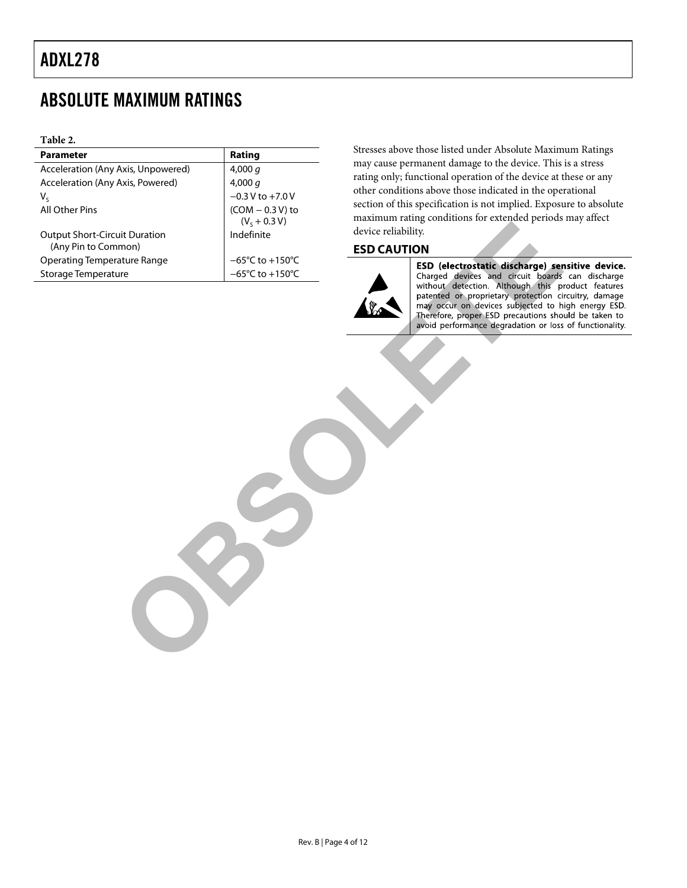### <span id="page-3-0"></span>ABSOLUTE MAXIMUM RATINGS

#### **Table 2.**

| Parameter                                                   | Rating                               | Stresses above those listed under Absolute Maxim                                                                                                               |
|-------------------------------------------------------------|--------------------------------------|----------------------------------------------------------------------------------------------------------------------------------------------------------------|
| Acceleration (Any Axis, Unpowered)                          | 4,000q                               | may cause permanent damage to the device. This                                                                                                                 |
| Acceleration (Any Axis, Powered)                            | 4,000q                               | rating only; functional operation of the device at t                                                                                                           |
| $V_{S}$                                                     | $-0.3$ V to $+7.0$ V                 | other conditions above those indicated in the ope                                                                                                              |
| All Other Pins                                              | $(COM - 0.3 V)$ to                   | section of this specification is not implied. Exposu                                                                                                           |
|                                                             | $(VS + 0.3 V)$                       | maximum rating conditions for extended periods                                                                                                                 |
| <b>Output Short-Circuit Duration</b><br>(Any Pin to Common) | Indefinite                           | device reliability.<br><b>ESD CAUTION</b>                                                                                                                      |
| <b>Operating Temperature Range</b>                          | $-65^{\circ}$ C to +150 $^{\circ}$ C |                                                                                                                                                                |
| Storage Temperature                                         | $-65^{\circ}$ C to +150 $^{\circ}$ C | ESD (electrostatic discharge) ser<br>Charged devices and circuit boards                                                                                        |
|                                                             |                                      | patented or proprietary protection ci<br>may occur on devices subjected to h<br>Therefore, proper ESD precautions sho<br>avoid performance degradation or loss |

Stresses above those listed under Absolute Maximum Ratings may cause permanent damage to the device. This is a stress rating only; functional operation of the device at these or any other conditions above those indicated in the operational section of this specification is not implied. Exposure to absolute maximum rating conditions for extended periods may affect device reliability.

### <span id="page-3-1"></span>**ESD CAUTION**

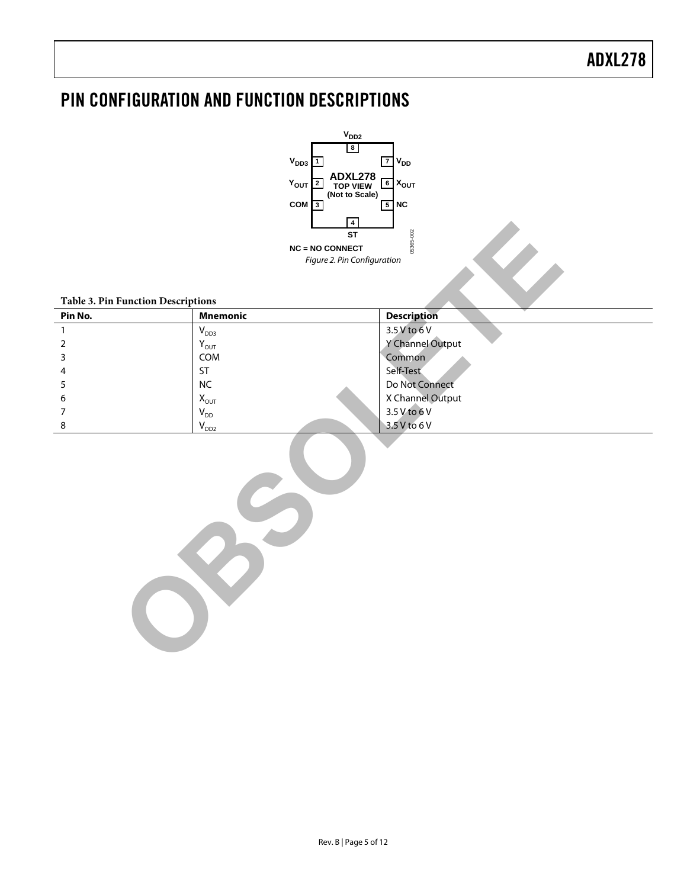# <span id="page-4-0"></span>PIN CONFIGURATION AND FUNCTION DESCRIPTIONS



#### **Table 3. Pin Function Descriptions**

|                                           | $\vert 4 \vert$             |                    |  |  |  |  |  |  |
|-------------------------------------------|-----------------------------|--------------------|--|--|--|--|--|--|
|                                           | <b>ST</b>                   | 05365-002          |  |  |  |  |  |  |
|                                           | <b>NC = NO CONNECT</b>      |                    |  |  |  |  |  |  |
|                                           | Figure 2. Pin Configuration |                    |  |  |  |  |  |  |
|                                           |                             |                    |  |  |  |  |  |  |
|                                           |                             |                    |  |  |  |  |  |  |
| <b>Table 3. Pin Function Descriptions</b> |                             |                    |  |  |  |  |  |  |
| Pin No.                                   | <b>Mnemonic</b>             | <b>Description</b> |  |  |  |  |  |  |
| $\mathbf{1}$                              | $V_{DD3}$                   | $3.5V$ to 6 V      |  |  |  |  |  |  |
| $\overline{2}$                            | $\mathsf{Y}_{\mathsf{OUT}}$ | Y Channel Output   |  |  |  |  |  |  |
| 3                                         | COM                         | Common             |  |  |  |  |  |  |
| 4                                         | ST                          | Self-Test          |  |  |  |  |  |  |
| 5                                         | <b>NC</b>                   | Do Not Connect     |  |  |  |  |  |  |
| 6                                         | $X_{OUT}$                   | X Channel Output   |  |  |  |  |  |  |
| 7                                         | $\mathsf{V}_{\mathsf{DD}}$  | 3.5 V to 6 V       |  |  |  |  |  |  |
| 8                                         | $\mathsf{V}_{\mathsf{DD2}}$ | 3.5 V to 6 V       |  |  |  |  |  |  |
|                                           |                             |                    |  |  |  |  |  |  |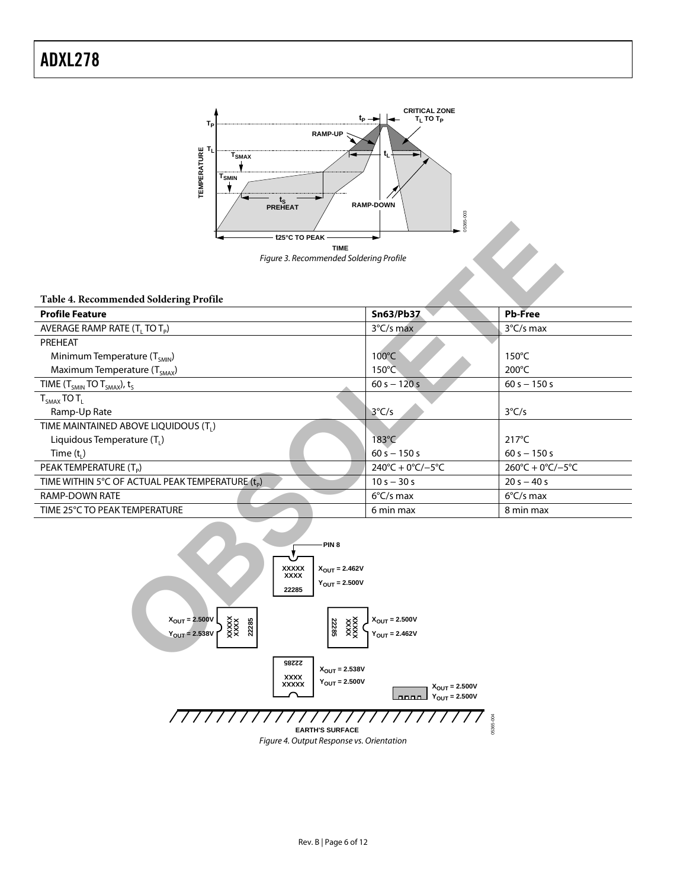

#### **Table 4. Recommended Soldering Profile**

| t25°C TO PEAK                                         |                           | 05365                                   |                                         |  |  |  |  |
|-------------------------------------------------------|---------------------------|-----------------------------------------|-----------------------------------------|--|--|--|--|
|                                                       | <b>TIME</b>               |                                         |                                         |  |  |  |  |
| Figure 3. Recommended Soldering Profile               |                           |                                         |                                         |  |  |  |  |
|                                                       |                           |                                         |                                         |  |  |  |  |
|                                                       |                           |                                         |                                         |  |  |  |  |
| Table 4. Recommended Soldering Profile                |                           |                                         |                                         |  |  |  |  |
| <b>Profile Feature</b>                                |                           | <b>Sn63/Pb37</b>                        | <b>Pb-Free</b>                          |  |  |  |  |
| AVERAGE RAMP RATE (T <sub>i</sub> TO T <sub>p</sub> ) |                           | 3°C/s max                               | 3°C/s max                               |  |  |  |  |
| PREHEAT                                               |                           |                                         |                                         |  |  |  |  |
| Minimum Temperature (T <sub>SMIN</sub> )              |                           | 100°C                                   | $150^{\circ}$ C                         |  |  |  |  |
| Maximum Temperature (T <sub>SMAX</sub> )              |                           | 150°C                                   | 200°C                                   |  |  |  |  |
| TIME ( $T_{SMIN}$ TO $T_{SMAX}$ ), $t_S$              |                           | $60 s - 120 s$                          | $60 s - 150 s$                          |  |  |  |  |
| $T_{SMAX}$ TO $T_L$                                   |                           |                                         |                                         |  |  |  |  |
| Ramp-Up Rate                                          |                           | $3^{\circ}C/s$                          | $3^{\circ}C/s$                          |  |  |  |  |
| TIME MAINTAINED ABOVE LIQUIDOUS (T <sub>1</sub> )     |                           |                                         |                                         |  |  |  |  |
| Liquidous Temperature $(T_L)$                         |                           | $183^{\circ}$ C                         | $217^{\circ}$ C                         |  |  |  |  |
| Time $(t1)$                                           |                           | $60 s - 150 s$                          | $60 s - 150 s$                          |  |  |  |  |
| PEAK TEMPERATURE (T <sub>p</sub> )                    |                           | $240^{\circ}C + 0^{\circ}C/-5^{\circ}C$ | $260^{\circ}C + 0^{\circ}C/-5^{\circ}C$ |  |  |  |  |
| TIME WITHIN 5°C OF ACTUAL PEAK TEMPERATURE (tp)       |                           | $10 s - 30 s$                           | $20 s - 40 s$                           |  |  |  |  |
| RAMP-DOWN RATE                                        |                           | $6^{\circ}$ C/s max                     | $6^{\circ}$ C/s max                     |  |  |  |  |
| TIME 25°C TO PEAK TEMPERATURE                         |                           | 6 min max                               | 8 min max                               |  |  |  |  |
|                                                       |                           |                                         |                                         |  |  |  |  |
|                                                       | -PIN <sub>8</sub>         |                                         |                                         |  |  |  |  |
| <b>XXXXX</b>                                          | $X_{\text{OUT}} = 2.462V$ |                                         |                                         |  |  |  |  |
| <b>XXXX</b>                                           | $Y_{\text{OUT}} = 2.500V$ |                                         |                                         |  |  |  |  |
| 22285                                                 |                           |                                         |                                         |  |  |  |  |
|                                                       |                           |                                         |                                         |  |  |  |  |
| $X_{\text{OUT}} = 2.500V$                             |                           | $X_{\text{OUT}} = 2.500V$               |                                         |  |  |  |  |
| $\frac{\text{VXX}}{\text{XXX}}$<br>$Y_{OUT} = 2.538V$ |                           | $Y_{OUT} = 2.462V$                      |                                         |  |  |  |  |
|                                                       |                           |                                         |                                         |  |  |  |  |
| <b>22285</b>                                          |                           |                                         |                                         |  |  |  |  |

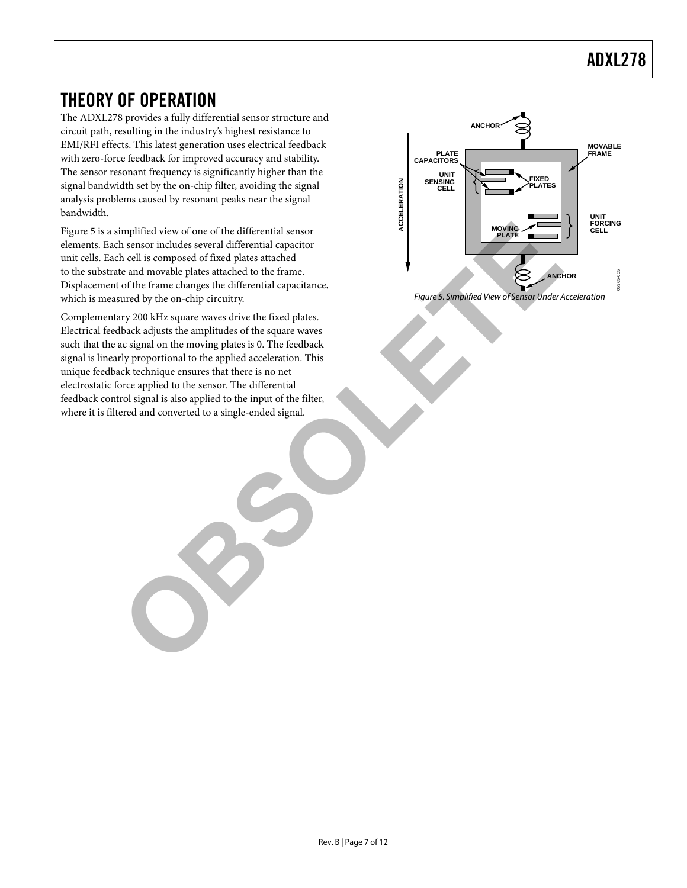### <span id="page-6-0"></span>THEORY OF OPERATION

The ADXL278 provides a fully differential sensor structure and circuit path, resulting in the industry's highest resistance to EMI/RFI effects. This latest generation uses electrical feedback with zero-force feedback for improved accuracy and stability. The sensor resonant frequency is significantly higher than the signal bandwidth set by the on-chip filter, avoiding the signal analysis problems caused by resonant peaks near the signal bandwidth.

[Figure 5](#page-6-1) is a simplified view of one of the differential sensor elements. Each sensor includes several differential capacitor unit cells. Each cell is composed of fixed plates attached to the substrate and movable plates attached to the frame. Displacement of the frame changes the differential capacitance, which is measured by the on-chip circuitry.

Complementary 200 kHz square waves drive the fixed plates. Electrical feedback adjusts the amplitudes of the square waves such that the ac signal on the moving plates is 0. The feedback signal is linearly proportional to the applied acceleration. This unique feedback technique ensures that there is no net electrostatic force applied to the sensor. The differential feedback control signal is also applied to the input of the filter, where it is filtered and converted to a single-ended signal. implified view of one of the differential sensor<br>
is especial differential capacitor<br>
is cell is composed of fixed plates attached<br>
the call movable plates attached to the frame.<br>
of the frame changes the differential capa



<span id="page-6-1"></span>*Figure 5. Simplified View of Sensor Under Acceleration*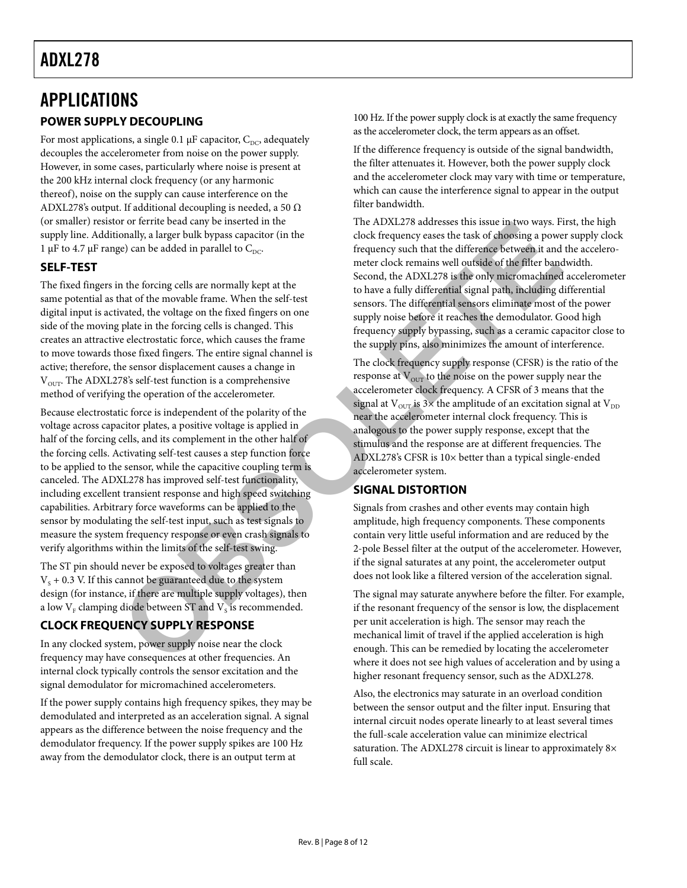### <span id="page-7-1"></span><span id="page-7-0"></span>APPLICATIONS **POWER SUPPLY DECOUPLING**

For most applications, a single 0.1  $\mu$ F capacitor, C<sub>DC</sub>, adequately decouples the accelerometer from noise on the power supply. However, in some cases, particularly where noise is present at the 200 kHz internal clock frequency (or any harmonic thereof), noise on the supply can cause interference on the ADXL278's output. If additional decoupling is needed, a 50  $\Omega$ (or smaller) resistor or ferrite bead cany be inserted in the supply line. Additionally, a larger bulk bypass capacitor (in the 1  $\mu$ F to 4.7  $\mu$ F range) can be added in parallel to C<sub>DC</sub>.

### <span id="page-7-2"></span>**SELF-TEST**

The fixed fingers in the forcing cells are normally kept at the same potential as that of the movable frame. When the self-test digital input is activated, the voltage on the fixed fingers on one side of the moving plate in the forcing cells is changed. This creates an attractive electrostatic force, which causes the frame to move towards those fixed fingers. The entire signal channel is active; therefore, the sensor displacement causes a change in  $V<sub>OUT</sub>$ . The ADXL278's self-test function is a comprehensive method of verifying the operation of the accelerometer.

Because electrostatic force is independent of the polarity of the voltage across capacitor plates, a positive voltage is applied in half of the forcing cells, and its complement in the other half of the forcing cells. Activating self-test causes a step function force to be applied to the sensor, while the capacitive coupling term is canceled. The ADXL278 has improved self-test functionality, including excellent transient response and high speed switching capabilities. Arbitrary force waveforms can be applied to the sensor by modulating the self-test input, such as test signals to measure the system frequency response or even crash signals to verify algorithms within the limits of the self-test swing. To the triangend can can be sense the same in the ways. However, the same in the same in the same in the same in the same in the same in the same in the same in the same in the same in the same in the same of the same in t

The ST pin should never be exposed to voltages greater than  $V<sub>s</sub> + 0.3$  V. If this cannot be guaranteed due to the system design (for instance, if there are multiple supply voltages), then a low  $V_F$  clamping diode between ST and  $V_S$  is recommended.

### <span id="page-7-3"></span>**CLOCK FREQUENCY SUPPLY RESPONSE**

In any clocked system, power supply noise near the clock frequency may have consequences at other frequencies. An internal clock typically controls the sensor excitation and the signal demodulator for micromachined accelerometers.

If the power supply contains high frequency spikes, they may be demodulated and interpreted as an acceleration signal. A signal appears as the difference between the noise frequency and the demodulator frequency. If the power supply spikes are 100 Hz away from the demodulator clock, there is an output term at

100 Hz. If the power supply clock is at exactly the same frequency as the accelerometer clock, the term appears as an offset.

If the difference frequency is outside of the signal bandwidth, the filter attenuates it. However, both the power supply clock and the accelerometer clock may vary with time or temperature, which can cause the interference signal to appear in the output filter bandwidth.

The ADXL278 addresses this issue in two ways. First, the high clock frequency eases the task of choosing a power supply clock frequency such that the difference between it and the accelerometer clock remains well outside of the filter bandwidth. Second, the ADXL278 is the only micromachined accelerometer to have a fully differential signal path, including differential sensors. The differential sensors eliminate most of the power supply noise before it reaches the demodulator. Good high frequency supply bypassing, such as a ceramic capacitor close to the supply pins, also minimizes the amount of interference.

The clock frequency supply response (CFSR) is the ratio of the response at  $V<sub>OUT</sub>$  to the noise on the power supply near the accelerometer clock frequency. A CFSR of 3 means that the signal at  $V_{\text{OUT}}$  is 3× the amplitude of an excitation signal at  $V_{\text{DD}}$ near the accelerometer internal clock frequency. This is analogous to the power supply response, except that the stimulus and the response are at different frequencies. The ADXL278's CFSR is 10× better than a typical single-ended accelerometer system.

### <span id="page-7-4"></span>**SIGNAL DISTORTION**

Signals from crashes and other events may contain high amplitude, high frequency components. These components contain very little useful information and are reduced by the 2-pole Bessel filter at the output of the accelerometer. However, if the signal saturates at any point, the accelerometer output does not look like a filtered version of the acceleration signal.

The signal may saturate anywhere before the filter. For example, if the resonant frequency of the sensor is low, the displacement per unit acceleration is high. The sensor may reach the mechanical limit of travel if the applied acceleration is high enough. This can be remedied by locating the accelerometer where it does not see high values of acceleration and by using a higher resonant frequency sensor, such as the ADXL278.

Also, the electronics may saturate in an overload condition between the sensor output and the filter input. Ensuring that internal circuit nodes operate linearly to at least several times the full-scale acceleration value can minimize electrical saturation. The ADXL278 circuit is linear to approximately 8× full scale.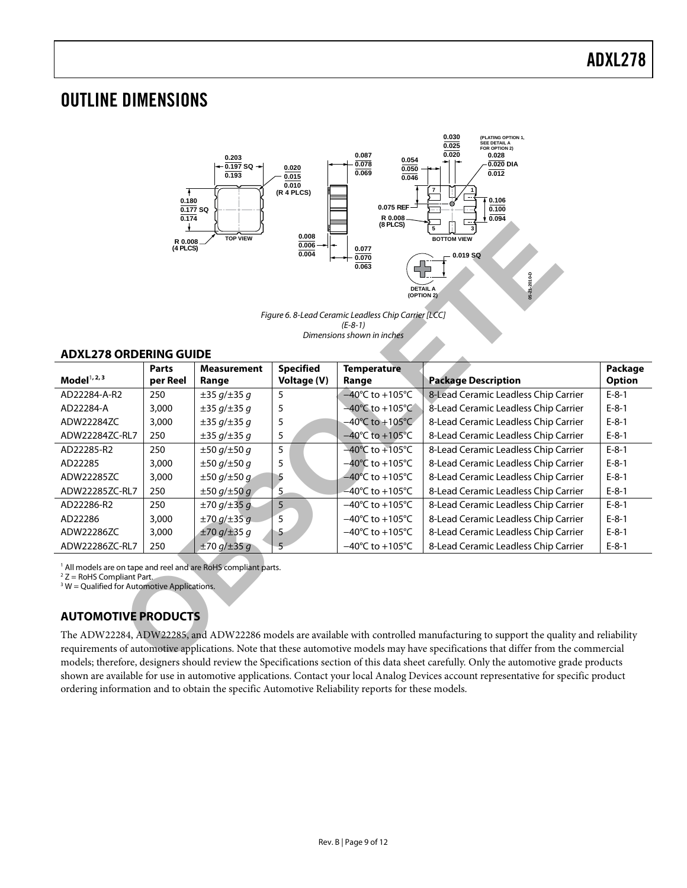### <span id="page-8-0"></span>OUTLINE DIMENSIONS



#### <span id="page-8-1"></span>**ADXL278 ORDERING GUIDE**

| (8 PLCS)<br>5<br>0.008<br><b>TOP VIEW</b><br><b>BOTTOM VIEW</b><br>R 0.008<br>0.006<br>(4 PLCS)<br>0.077<br>0.004<br>$0.019$ SQ<br>0.070<br>0.063<br>04021-2010<br><b>DETAIL A</b><br>(OPTION 2)<br>Figure 6.8-Lead Ceramic Leadless Chip Carrier [LCC]<br>$(E-8-1)$<br>Dimensions shown in inches |              |                        |                  |                                      |                                      |               |  |  |
|----------------------------------------------------------------------------------------------------------------------------------------------------------------------------------------------------------------------------------------------------------------------------------------------------|--------------|------------------------|------------------|--------------------------------------|--------------------------------------|---------------|--|--|
| <b>ADXL278 ORDERING GUIDE</b>                                                                                                                                                                                                                                                                      | <b>Parts</b> | <b>Measurement</b>     | <b>Specified</b> | <b>Temperature</b>                   |                                      | Package       |  |  |
| Model $1, 2, 3$                                                                                                                                                                                                                                                                                    | per Reel     | Range                  | Voltage (V)      | Range                                | <b>Package Description</b>           | <b>Option</b> |  |  |
| AD22284-A-R2                                                                                                                                                                                                                                                                                       | 250          | ±35 g/±35 g            | 5                | $-40^{\circ}$ C to +105 $^{\circ}$ C | 8-Lead Ceramic Leadless Chip Carrier | $E - 8 - 1$   |  |  |
| AD22284-A                                                                                                                                                                                                                                                                                          | 3,000        | $\pm 35 g/\pm 35 g$    | 5                | $-40^{\circ}$ C to $+105^{\circ}$ C  | 8-Lead Ceramic Leadless Chip Carrier | $E-8-1$       |  |  |
| ADW22284ZC                                                                                                                                                                                                                                                                                         | 3,000        | $\pm 35 g/\pm 35 g$    | 5                | $-40^{\circ}$ C to $+105^{\circ}$ C  | 8-Lead Ceramic Leadless Chip Carrier | $E-8-1$       |  |  |
| ADW22284ZC-RL7                                                                                                                                                                                                                                                                                     | 250          | $\pm 35 g/\pm 35 g$    | 5                | $-40^{\circ}$ C to +105 $^{\circ}$ C | 8-Lead Ceramic Leadless Chip Carrier | $E-8-1$       |  |  |
| AD22285-R2                                                                                                                                                                                                                                                                                         | 250          | ±50 g/±50 g            | 5                | $-40^{\circ}$ C to $+105^{\circ}$ C  | 8-Lead Ceramic Leadless Chip Carrier | $E-8-1$       |  |  |
| AD22285                                                                                                                                                                                                                                                                                            | 3,000        | ±50 g/±50 g            | 5                | $-40^{\circ}$ C to $+105^{\circ}$ C  | 8-Lead Ceramic Leadless Chip Carrier | $E-8-1$       |  |  |
| ADW22285ZC                                                                                                                                                                                                                                                                                         | 3,000        | $\pm 50$ g/ $\pm 50$ g | 5                | $-40^{\circ}$ C to +105 $^{\circ}$ C | 8-Lead Ceramic Leadless Chip Carrier | $E-8-1$       |  |  |
| ADW22285ZC-RL7                                                                                                                                                                                                                                                                                     | 250          | ±50 g/±50 g            | $\overline{5}$   | $-40^{\circ}$ C to $+105^{\circ}$ C  | 8-Lead Ceramic Leadless Chip Carrier | $E-8-1$       |  |  |
| AD22286-R2                                                                                                                                                                                                                                                                                         | 250          | ±70 g/±35 g            | 5                | $-40^{\circ}$ C to $+105^{\circ}$ C  | 8-Lead Ceramic Leadless Chip Carrier | $E-8-1$       |  |  |
| AD22286                                                                                                                                                                                                                                                                                            | 3,000        | $±70$ g/ $±35$ g       | 5                | $-40^{\circ}$ C to $+105^{\circ}$ C  | 8-Lead Ceramic Leadless Chip Carrier | $E-8-1$       |  |  |
| ADW22286ZC                                                                                                                                                                                                                                                                                         | 3,000        | ±70 g/±35 g            | 5                | $-40^{\circ}$ C to $+105^{\circ}$ C  | 8-Lead Ceramic Leadless Chip Carrier | $E-8-1$       |  |  |
| ADW22286ZC-RL7                                                                                                                                                                                                                                                                                     | 250          | ±70 g/±35 g            | 5                | $-40^{\circ}$ C to $+105^{\circ}$ C  | 8-Lead Ceramic Leadless Chip Carrier | $E-8-1$       |  |  |
| <sup>1</sup> All models are on tape and reel and are RoHS compliant parts.<br>$2 Z =$ RoHS Compliant Part.<br>$3 W =$ Qualified for Automotive Applications.<br><b>AUTOMOTIVE PRODUCTS</b>                                                                                                         |              |                        |                  |                                      |                                      |               |  |  |
| The ADW22284, ADW22285, and ADW22286 models are available with controlled manufacturing to support the quality and reliability                                                                                                                                                                     |              |                        |                  |                                      |                                      |               |  |  |
| requirements of automotive applications. Note that these automotive models may have specifications that differ from the commercial                                                                                                                                                                 |              |                        |                  |                                      |                                      |               |  |  |
| models; therefore, designers should review the Specifications section of this data sheet carefully. Only the automotive grade products                                                                                                                                                             |              |                        |                  |                                      |                                      |               |  |  |

### <span id="page-8-2"></span>**AUTOMOTIVE PRODUCTS**

The ADW22284, ADW22285, and ADW22286 models are available with controlled manufacturing to support the quality and reliability requirements of automotive applications. Note that these automotive models may have specifications that differ from the commercial models; therefore, designers should review the Specifications section of this data sheet carefully. Only the automotive grade products shown are available for use in automotive applications. Contact your local Analog Devices account representative for specific product ordering information and to obtain the specific Automotive Reliability reports for these models.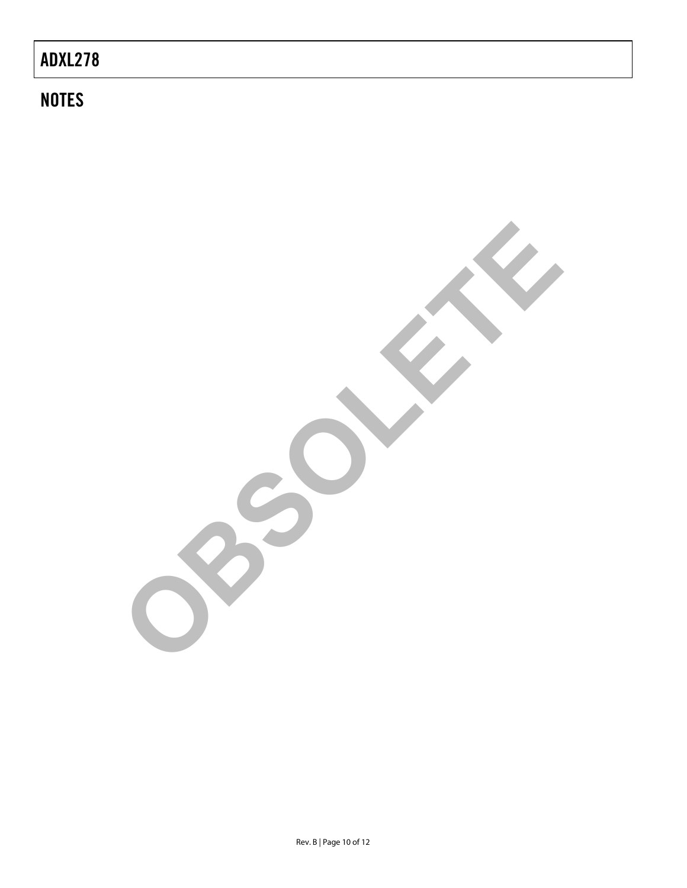# **NOTES**

**OBSOLETE**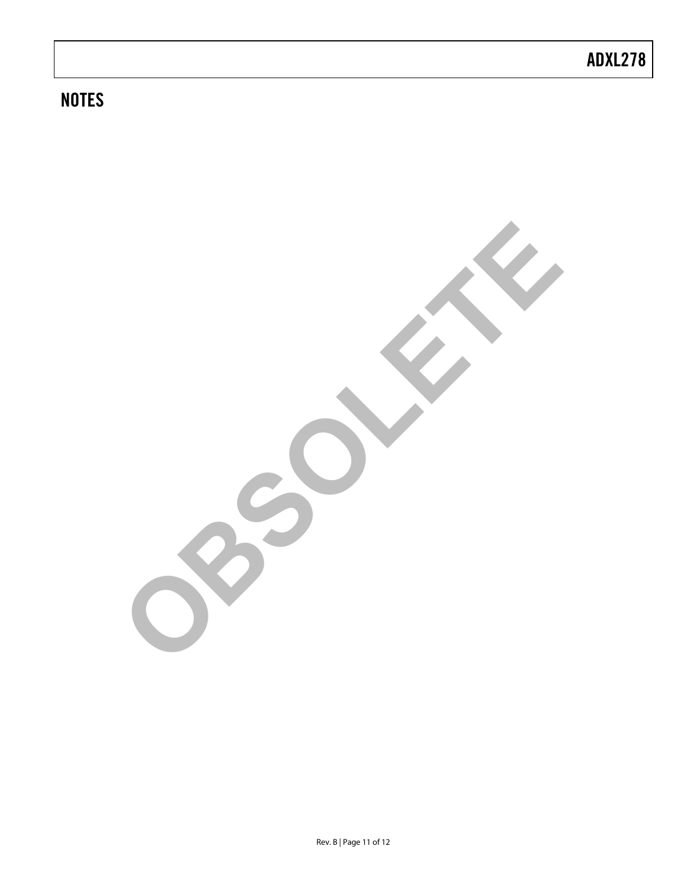# **NOTES**

**OBSOLETE**